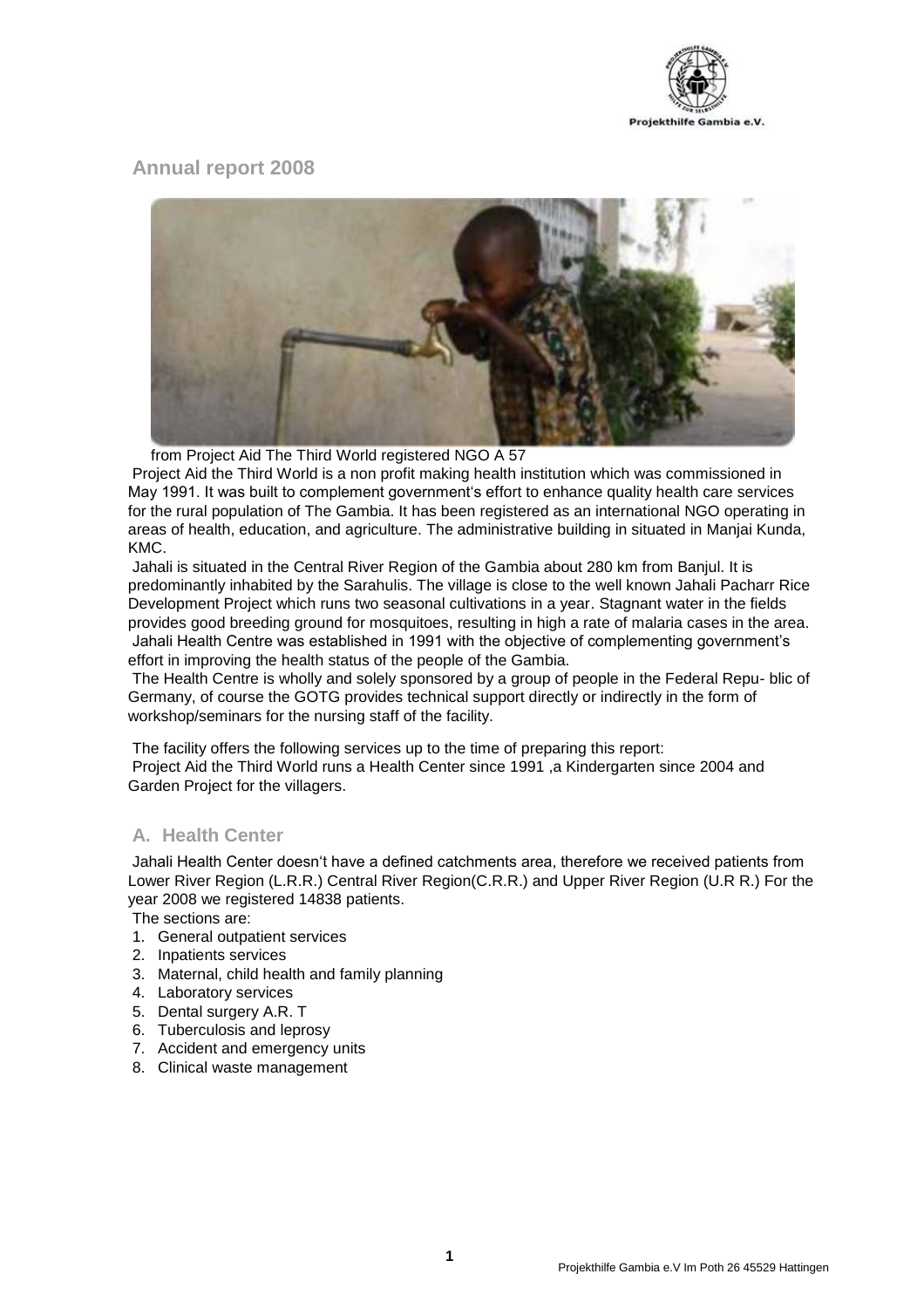

# **Annual report 2008**



from Project Aid The Third World registered NGO A 57

Project Aid the Third World is a non profit making health institution which was commissioned in May 1991. It was built to complement government's effort to enhance quality health care services for the rural population of The Gambia. It has been registered as an international NGO operating in areas of health, education, and agriculture. The administrative building in situated in Manjai Kunda, KMC.

Jahali is situated in the Central River Region of the Gambia about 280 km from Banjul. It is predominantly inhabited by the Sarahulis. The village is close to the well known Jahali Pacharr Rice Development Project which runs two seasonal cultivations in a year. Stagnant water in the fields provides good breeding ground for mosquitoes, resulting in high a rate of malaria cases in the area. Jahali Health Centre was established in 1991 with the objective of complementing government's effort in improving the health status of the people of the Gambia.

The Health Centre is wholly and solely sponsored by a group of people in the Federal Repu- blic of Germany, of course the GOTG provides technical support directly or indirectly in the form of workshop/seminars for the nursing staff of the facility.

The facility offers the following services up to the time of preparing this report: Project Aid the Third World runs a Health Center since 1991 ,a Kindergarten since 2004 and Garden Project for the villagers.

# **A. Health Center**

Jahali Health Center doesn't have a defined catchments area, therefore we received patients from Lower River Region (L.R.R.) Central River Region(C.R.R.) and Upper River Region (U.R R.) For the year 2008 we registered 14838 patients.

The sections are:

- 1. General outpatient services
- 2. Inpatients services
- 3. Maternal, child health and family planning
- 4. Laboratory services
- 5. Dental surgery A.R. T
- 6. Tuberculosis and leprosy
- 7. Accident and emergency units
- 8. Clinical waste management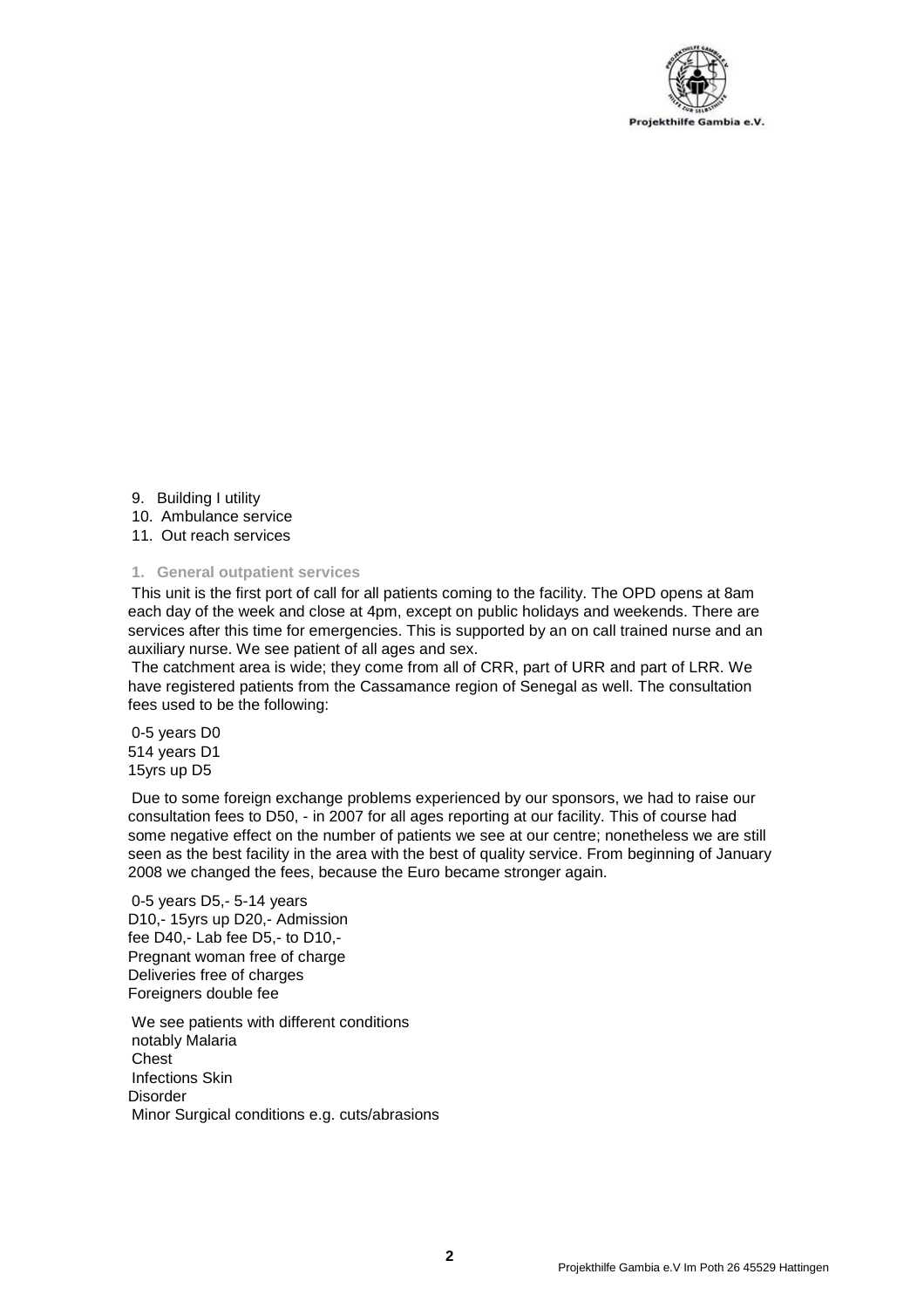

- 9. Building I utility
- 10. Ambulance service
- 11. Out reach services

#### **1. General outpatient services**

This unit is the first port of call for all patients coming to the facility. The OPD opens at 8am each day of the week and close at 4pm, except on public holidays and weekends. There are services after this time for emergencies. This is supported by an on call trained nurse and an auxiliary nurse. We see patient of all ages and sex.

The catchment area is wide; they come from all of CRR, part of URR and part of LRR. We have registered patients from the Cassamance region of Senegal as well. The consultation fees used to be the following:

0-5 years D0 514 years D1 15yrs up D5

Due to some foreign exchange problems experienced by our sponsors, we had to raise our consultation fees to D50, - in 2007 for all ages reporting at our facility. This of course had some negative effect on the number of patients we see at our centre; nonetheless we are still seen as the best facility in the area with the best of quality service. From beginning of January 2008 we changed the fees, because the Euro became stronger again.

0-5 years D5,- 5-14 years D10,- 15yrs up D20,- Admission fee D40,- Lab fee D5,- to D10,- Pregnant woman free of charge Deliveries free of charges Foreigners double fee

We see patients with different conditions notably Malaria **Chest** Infections Skin **Disorder** Minor Surgical conditions e.g. cuts/abrasions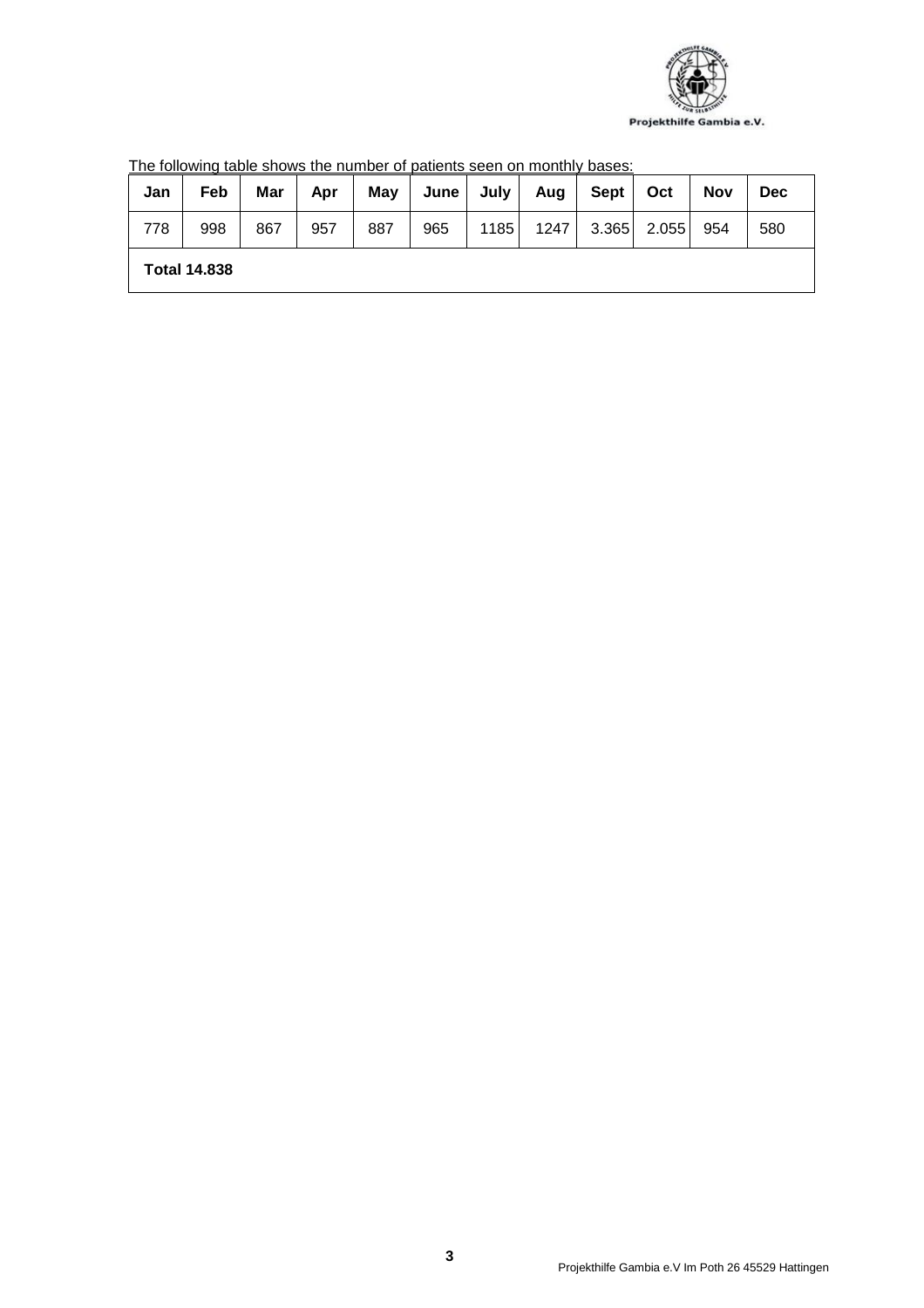

| Jan                 | Feb | Mar | Apr | May | June | July | Aug  | Sept  | Oct   | <b>Nov</b> | Dec |
|---------------------|-----|-----|-----|-----|------|------|------|-------|-------|------------|-----|
| 778                 | 998 | 867 | 957 | 887 | 965  | 1185 | 1247 | 3.365 | 2.055 | 954        | 580 |
| <b>Total 14,838</b> |     |     |     |     |      |      |      |       |       |            |     |

The following table shows the number of patients seen on monthly bases: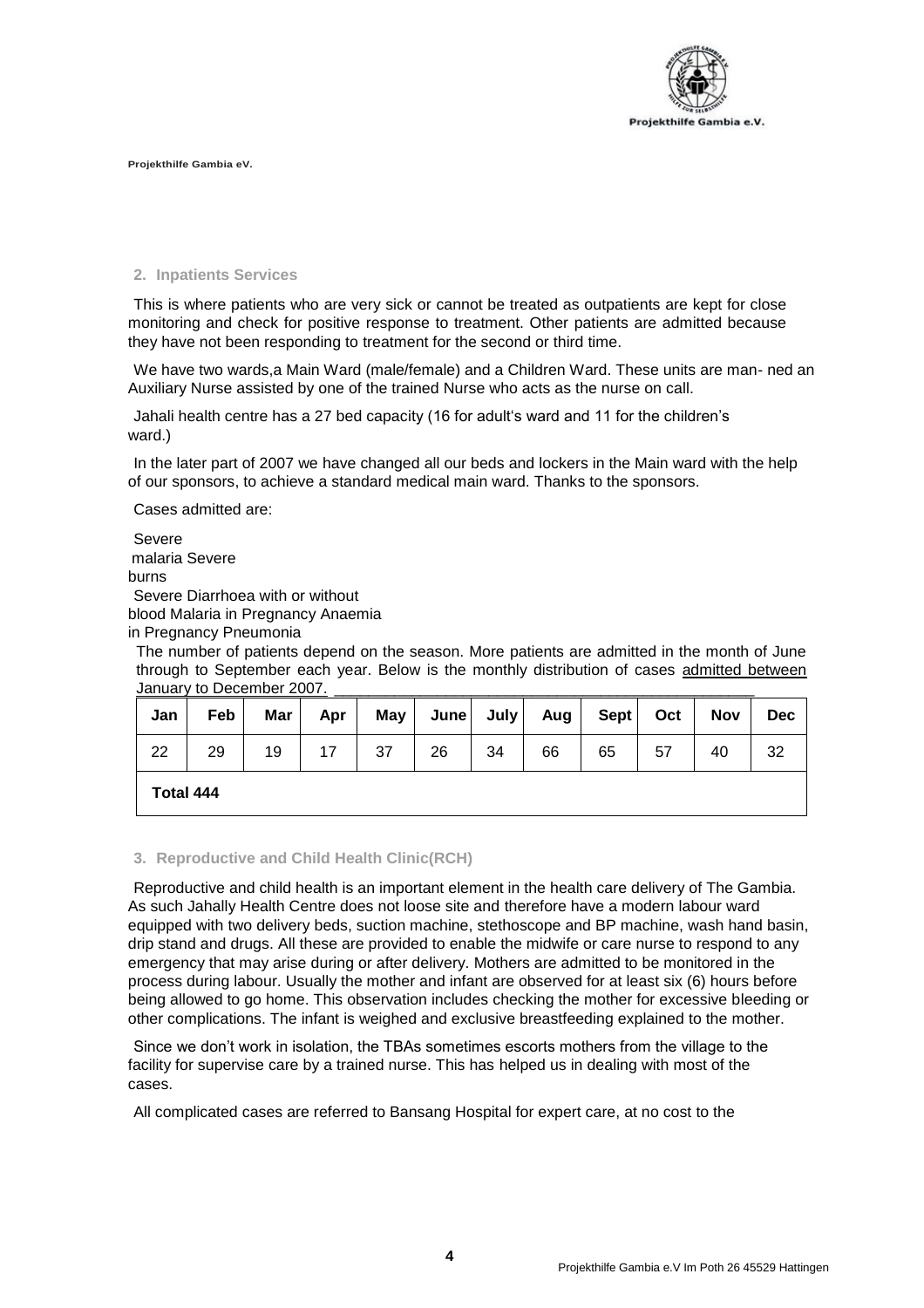

### **2. Inpatients Services**

This is where patients who are very sick or cannot be treated as outpatients are kept for close monitoring and check for positive response to treatment. Other patients are admitted because they have not been responding to treatment for the second or third time.

We have two wards,a Main Ward (male/female) and a Children Ward. These units are man- ned an Auxiliary Nurse assisted by one of the trained Nurse who acts as the nurse on call.

Jahali health centre has a 27 bed capacity (16 for adult's ward and 11 for the children's ward.)

In the later part of 2007 we have changed all our beds and lockers in the Main ward with the help of our sponsors, to achieve a standard medical main ward. Thanks to the sponsors.

Cases admitted are:

Severe malaria Severe burns Severe Diarrhoea with or without blood Malaria in Pregnancy Anaemia

in Pregnancy Pneumonia

The number of patients depend on the season. More patients are admitted in the month of June through to September each year. Below is the monthly distribution of cases admitted between January to December 2007.

| Jan       | Feb | Mar | Apr | May $ $ |    | June July | Aug | <b>Sept</b> | Oct | <b>Nov</b> | <b>Dec</b> |
|-----------|-----|-----|-----|---------|----|-----------|-----|-------------|-----|------------|------------|
| 22        | 29  | 19  | 17  | 37      | 26 | 34        | 66  | 65          | 57  | 40         | 32         |
| Total 444 |     |     |     |         |    |           |     |             |     |            |            |

#### **3. Reproductive and Child Health Clinic(RCH)**

Reproductive and child health is an important element in the health care delivery of The Gambia. As such Jahally Health Centre does not loose site and therefore have a modern labour ward equipped with two delivery beds, suction machine, stethoscope and BP machine, wash hand basin, drip stand and drugs. All these are provided to enable the midwife or care nurse to respond to any emergency that may arise during or after delivery. Mothers are admitted to be monitored in the process during labour. Usually the mother and infant are observed for at least six (6) hours before being allowed to go home. This observation includes checking the mother for excessive bleeding or other complications. The infant is weighed and exclusive breastfeeding explained to the mother.

Since we don't work in isolation, the TBAs sometimes escorts mothers from the village to the facility for supervise care by a trained nurse. This has helped us in dealing with most of the cases.

All complicated cases are referred to Bansang Hospital for expert care, at no cost to the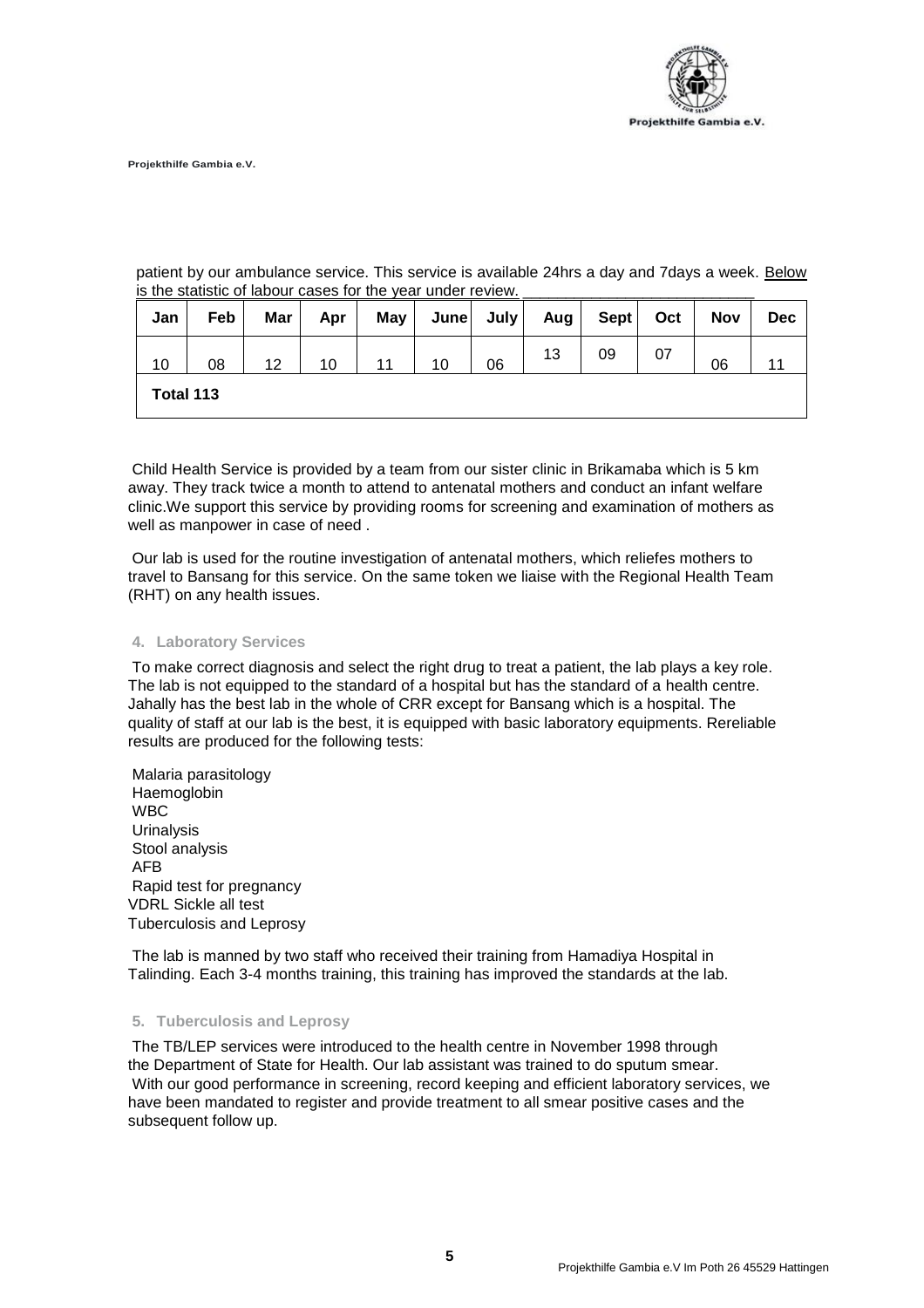

patient by our ambulance service. This service is available 24hrs a day and 7days a week. Below is the statistic of labour cases for the year under review.

| Jan       | Feb | Mar | Apr | <b>May</b> | June | July | Aug $ $ | <b>Sept</b> | Oct | <b>Nov</b> | <b>Dec</b> |
|-----------|-----|-----|-----|------------|------|------|---------|-------------|-----|------------|------------|
| 10        | 08  | 12  | 10  |            | 10   | 06   | 13      | 09          |     | 06         |            |
| Total 113 |     |     |     |            |      |      |         |             |     |            |            |

Child Health Service is provided by a team from our sister clinic in Brikamaba which is 5 km away. They track twice a month to attend to antenatal mothers and conduct an infant welfare clinic.We support this service by providing rooms for screening and examination of mothers as well as manpower in case of need .

Our lab is used for the routine investigation of antenatal mothers, which reliefes mothers to travel to Bansang for this service. On the same token we liaise with the Regional Health Team (RHT) on any health issues.

#### **4. Laboratory Services**

To make correct diagnosis and select the right drug to treat a patient, the lab plays a key role. The lab is not equipped to the standard of a hospital but has the standard of a health centre. Jahally has the best lab in the whole of CRR except for Bansang which is a hospital. The quality of staff at our lab is the best, it is equipped with basic laboratory equipments. Rereliable results are produced for the following tests:

Malaria parasitology Haemoglobin WBC Urinalysis Stool analysis AFB Rapid test for pregnancy VDRL Sickle all test Tuberculosis and Leprosy

The lab is manned by two staff who received their training from Hamadiya Hospital in Talinding. Each 3-4 months training, this training has improved the standards at the lab.

#### **5. Tuberculosis and Leprosy**

The TB/LEP services were introduced to the health centre in November 1998 through the Department of State for Health. Our lab assistant was trained to do sputum smear. With our good performance in screening, record keeping and efficient laboratory services, we have been mandated to register and provide treatment to all smear positive cases and the subsequent follow up.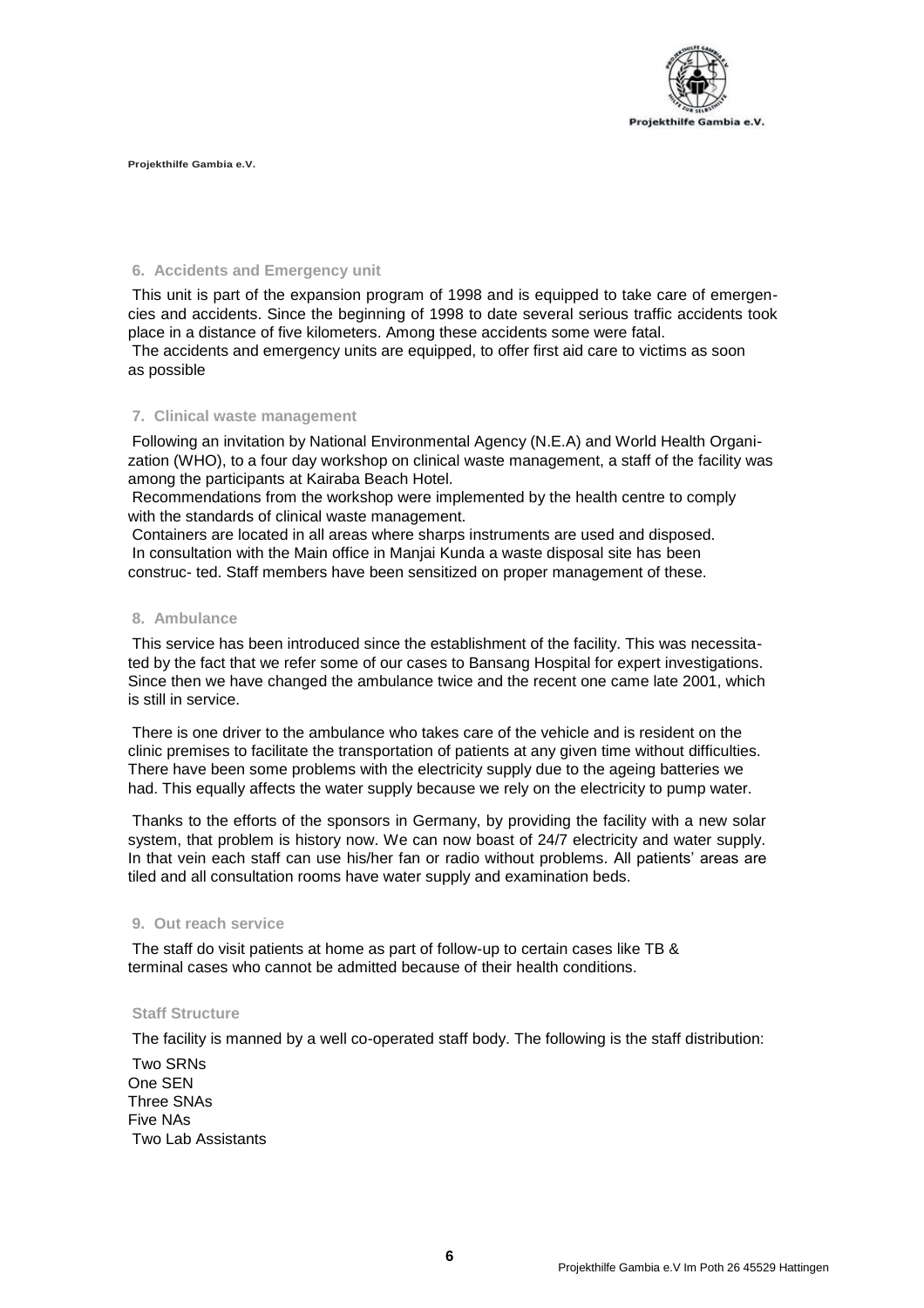

## **6. Accidents and Emergency unit**

This unit is part of the expansion program of 1998 and is equipped to take care of emergencies and accidents. Since the beginning of 1998 to date several serious traffic accidents took place in a distance of five kilometers. Among these accidents some were fatal.

The accidents and emergency units are equipped, to offer first aid care to victims as soon as possible

#### **7. Clinical waste management**

Following an invitation by National Environmental Agency (N.E.A) and World Health Organization (WHO), to a four day workshop on clinical waste management, a staff of the facility was among the participants at Kairaba Beach Hotel.

Recommendations from the workshop were implemented by the health centre to comply with the standards of clinical waste management.

Containers are located in all areas where sharps instruments are used and disposed. In consultation with the Main office in Manjai Kunda a waste disposal site has been construc- ted. Staff members have been sensitized on proper management of these.

#### **8. Ambulance**

This service has been introduced since the establishment of the facility. This was necessitated by the fact that we refer some of our cases to Bansang Hospital for expert investigations. Since then we have changed the ambulance twice and the recent one came late 2001, which is still in service.

There is one driver to the ambulance who takes care of the vehicle and is resident on the clinic premises to facilitate the transportation of patients at any given time without difficulties. There have been some problems with the electricity supply due to the ageing batteries we had. This equally affects the water supply because we rely on the electricity to pump water.

Thanks to the efforts of the sponsors in Germany, by providing the facility with a new solar system, that problem is history now. We can now boast of 24/7 electricity and water supply. In that vein each staff can use his/her fan or radio without problems. All patients' areas are tiled and all consultation rooms have water supply and examination beds.

#### **9. Out reach service**

The staff do visit patients at home as part of follow-up to certain cases like TB & terminal cases who cannot be admitted because of their health conditions.

## **Staff Structure**

The facility is manned by a well co-operated staff body. The following is the staff distribution:

Two SRNs One SEN Three SNAs Five NAs Two Lab Assistants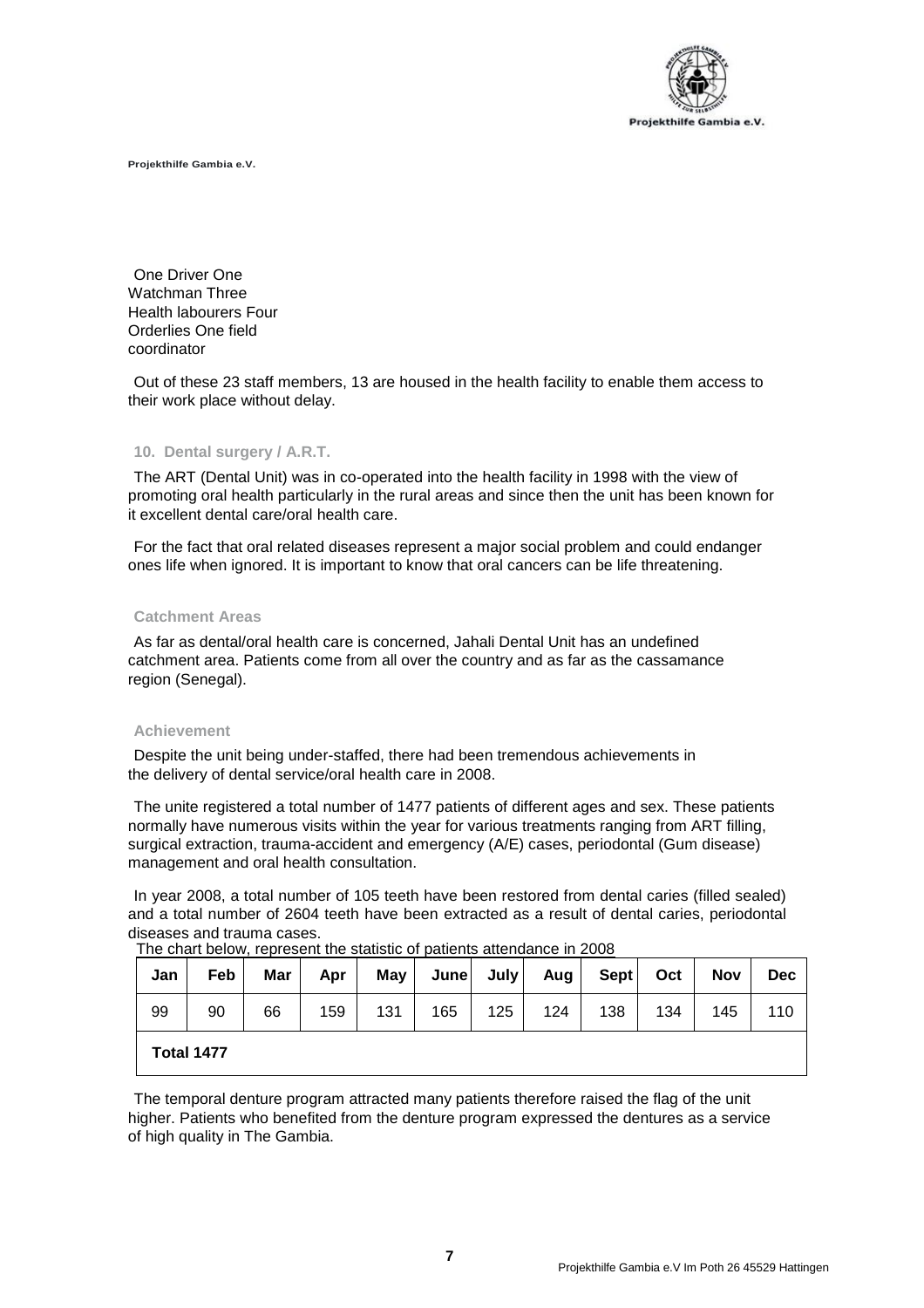

One Driver One Watchman Three Health labourers Four Orderlies One field coordinator

Out of these 23 staff members, 13 are housed in the health facility to enable them access to their work place without delay.

#### **10. Dental surgery / A.R.T.**

The ART (Dental Unit) was in co-operated into the health facility in 1998 with the view of promoting oral health particularly in the rural areas and since then the unit has been known for it excellent dental care/oral health care.

For the fact that oral related diseases represent a major social problem and could endanger ones life when ignored. It is important to know that oral cancers can be life threatening.

#### **Catchment Areas**

As far as dental/oral health care is concerned, Jahali Dental Unit has an undefined catchment area. Patients come from all over the country and as far as the cassamance region (Senegal).

#### **Achievement**

Despite the unit being under-staffed, there had been tremendous achievements in the delivery of dental service/oral health care in 2008.

The unite registered a total number of 1477 patients of different ages and sex. These patients normally have numerous visits within the year for various treatments ranging from ART filling, surgical extraction, trauma-accident and emergency (A/E) cases, periodontal (Gum disease) management and oral health consultation.

In year 2008, a total number of 105 teeth have been restored from dental caries (filled sealed) and a total number of 2604 teeth have been extracted as a result of dental caries, periodontal diseases and trauma cases.

| Jan | Feb        | Mar | Apr | <b>May</b> | June | July | Aug l | Sept | Oct | <b>Nov</b> | <b>Dec</b> |
|-----|------------|-----|-----|------------|------|------|-------|------|-----|------------|------------|
| 99  | 90         | 66  | 159 | 131        | 165  | 125  | 124   | 138  | 134 | 145        | 110        |
|     | Total 1477 |     |     |            |      |      |       |      |     |            |            |

The chart below, represent the statistic of patients attendance in 2008

The temporal denture program attracted many patients therefore raised the flag of the unit higher. Patients who benefited from the denture program expressed the dentures as a service of high quality in The Gambia.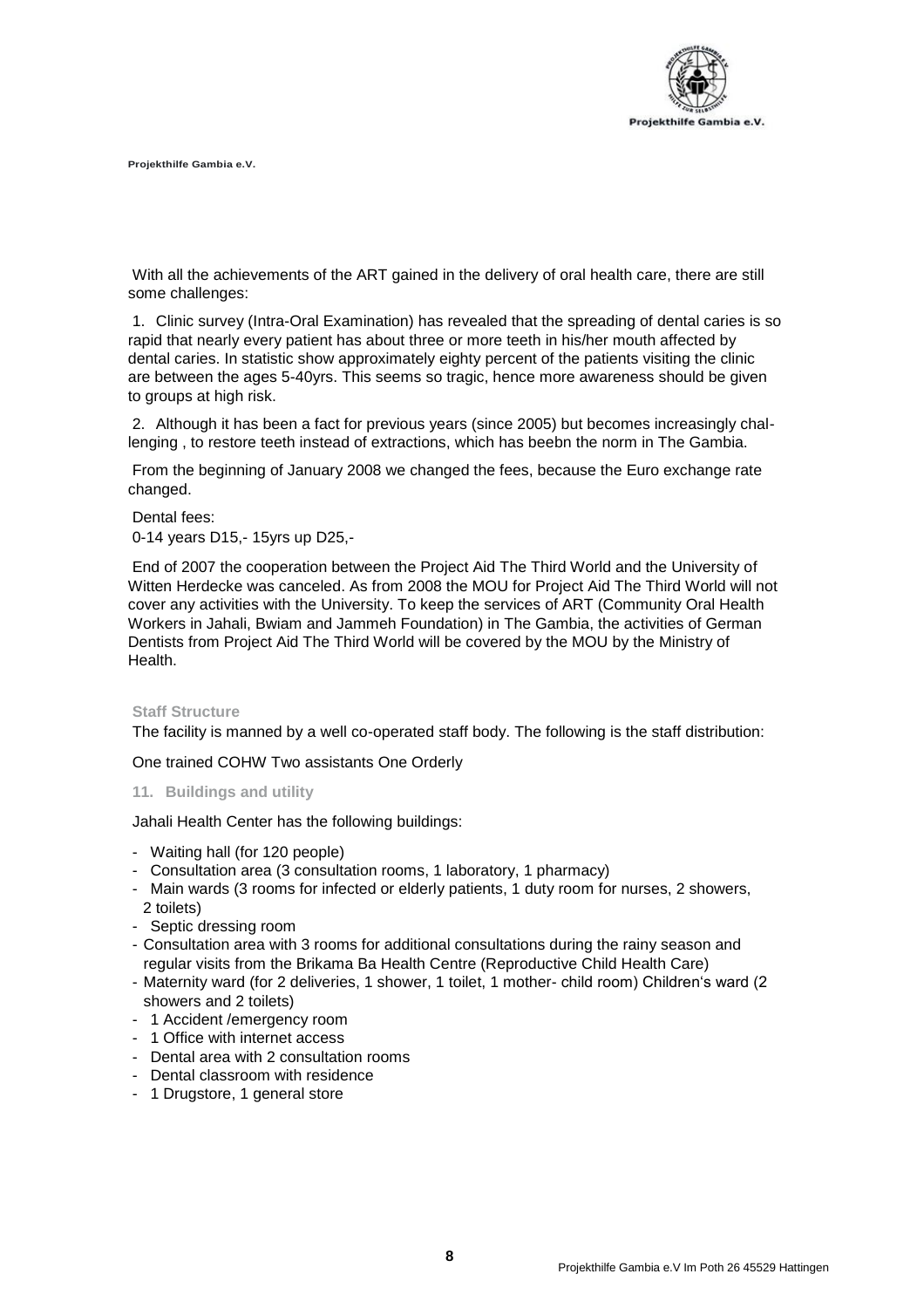

With all the achievements of the ART gained in the delivery of oral health care, there are still some challenges:

1. Clinic survey (Intra-Oral Examination) has revealed that the spreading of dental caries is so rapid that nearly every patient has about three or more teeth in his/her mouth affected by dental caries. In statistic show approximately eighty percent of the patients visiting the clinic are between the ages 5-40yrs. This seems so tragic, hence more awareness should be given to groups at high risk.

2. Although it has been a fact for previous years (since 2005) but becomes increasingly challenging , to restore teeth instead of extractions, which has beebn the norm in The Gambia.

From the beginning of January 2008 we changed the fees, because the Euro exchange rate changed.

Dental fees:

0-14 years D15,- 15yrs up D25,-

End of 2007 the cooperation between the Project Aid The Third World and the University of Witten Herdecke was canceled. As from 2008 the MOU for Project Aid The Third World will not cover any activities with the University. To keep the services of ART (Community Oral Health Workers in Jahali, Bwiam and Jammeh Foundation) in The Gambia, the activities of German Dentists from Project Aid The Third World will be covered by the MOU by the Ministry of Health.

#### **Staff Structure**

The facility is manned by a well co-operated staff body. The following is the staff distribution:

One trained COHW Two assistants One Orderly

### **11. Buildings and utility**

Jahali Health Center has the following buildings:

- Waiting hall (for 120 people)
- Consultation area (3 consultation rooms, 1 laboratory, 1 pharmacy)
- Main wards (3 rooms for infected or elderly patients, 1 duty room for nurses, 2 showers, 2 toilets)
- Septic dressing room
- Consultation area with 3 rooms for additional consultations during the rainy season and regular visits from the Brikama Ba Health Centre (Reproductive Child Health Care)
- Maternity ward (for 2 deliveries, 1 shower, 1 toilet, 1 mother- child room) Children's ward (2 showers and 2 toilets)
- 1 Accident /emergency room
- 1 Office with internet access
- Dental area with 2 consultation rooms
- Dental classroom with residence
- 1 Drugstore, 1 general store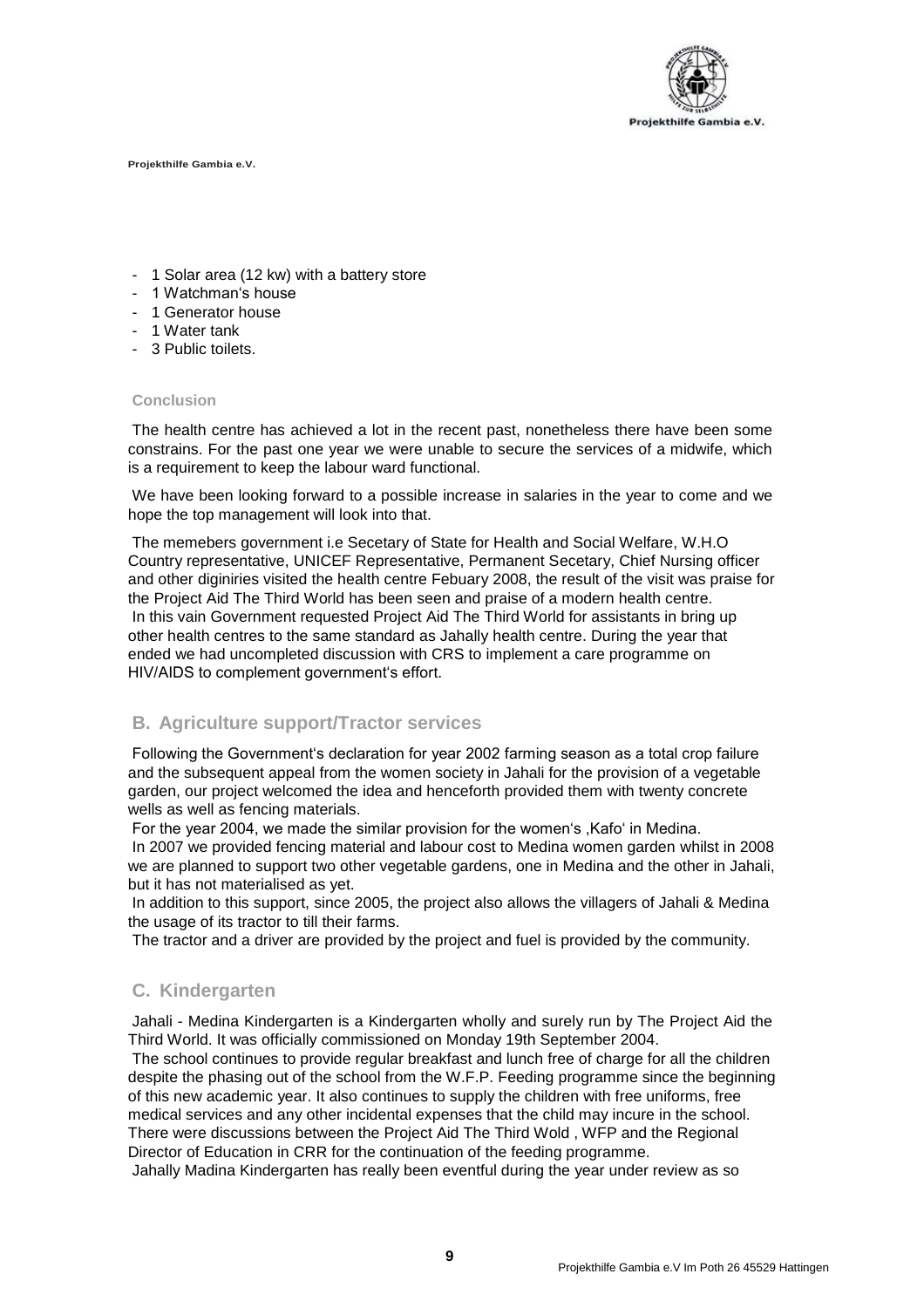

- 1 Solar area (12 kw) with a battery store
- 1 Watchman's house
- 1 Generator house
- 1 Water tank
- 3 Public toilets.

#### **Conclusion**

The health centre has achieved a lot in the recent past, nonetheless there have been some constrains. For the past one year we were unable to secure the services of a midwife, which is a requirement to keep the labour ward functional.

We have been looking forward to a possible increase in salaries in the year to come and we hope the top management will look into that.

The memebers government i.e Secetary of State for Health and Social Welfare, W.H.O Country representative, UNICEF Representative, Permanent Secetary, Chief Nursing officer and other diginiries visited the health centre Febuary 2008, the result of the visit was praise for the Project Aid The Third World has been seen and praise of a modern health centre. In this vain Government requested Project Aid The Third World for assistants in bring up other health centres to the same standard as Jahally health centre. During the year that ended we had uncompleted discussion with CRS to implement a care programme on HIV/AIDS to complement government's effort.

## **B. Agriculture support/Tractor services**

Following the Government's declaration for year 2002 farming season as a total crop failure and the subsequent appeal from the women society in Jahali for the provision of a vegetable garden, our project welcomed the idea and henceforth provided them with twenty concrete wells as well as fencing materials.

For the year 2004, we made the similar provision for the women's ,Kafo' in Medina. In 2007 we provided fencing material and labour cost to Medina women garden whilst in 2008 we are planned to support two other vegetable gardens, one in Medina and the other in Jahali, but it has not materialised as yet.

In addition to this support, since 2005, the project also allows the villagers of Jahali & Medina the usage of its tractor to till their farms.

The tractor and a driver are provided by the project and fuel is provided by the community.

## **C. Kindergarten**

Jahali - Medina Kindergarten is a Kindergarten wholly and surely run by The Project Aid the Third World. It was officially commissioned on Monday 19th September 2004.

The school continues to provide regular breakfast and lunch free of charge for all the children despite the phasing out of the school from the W.F.P. Feeding programme since the beginning of this new academic year. It also continues to supply the children with free uniforms, free medical services and any other incidental expenses that the child may incure in the school. There were discussions between the Project Aid The Third Wold , WFP and the Regional Director of Education in CRR for the continuation of the feeding programme.

Jahally Madina Kindergarten has really been eventful during the year under review as so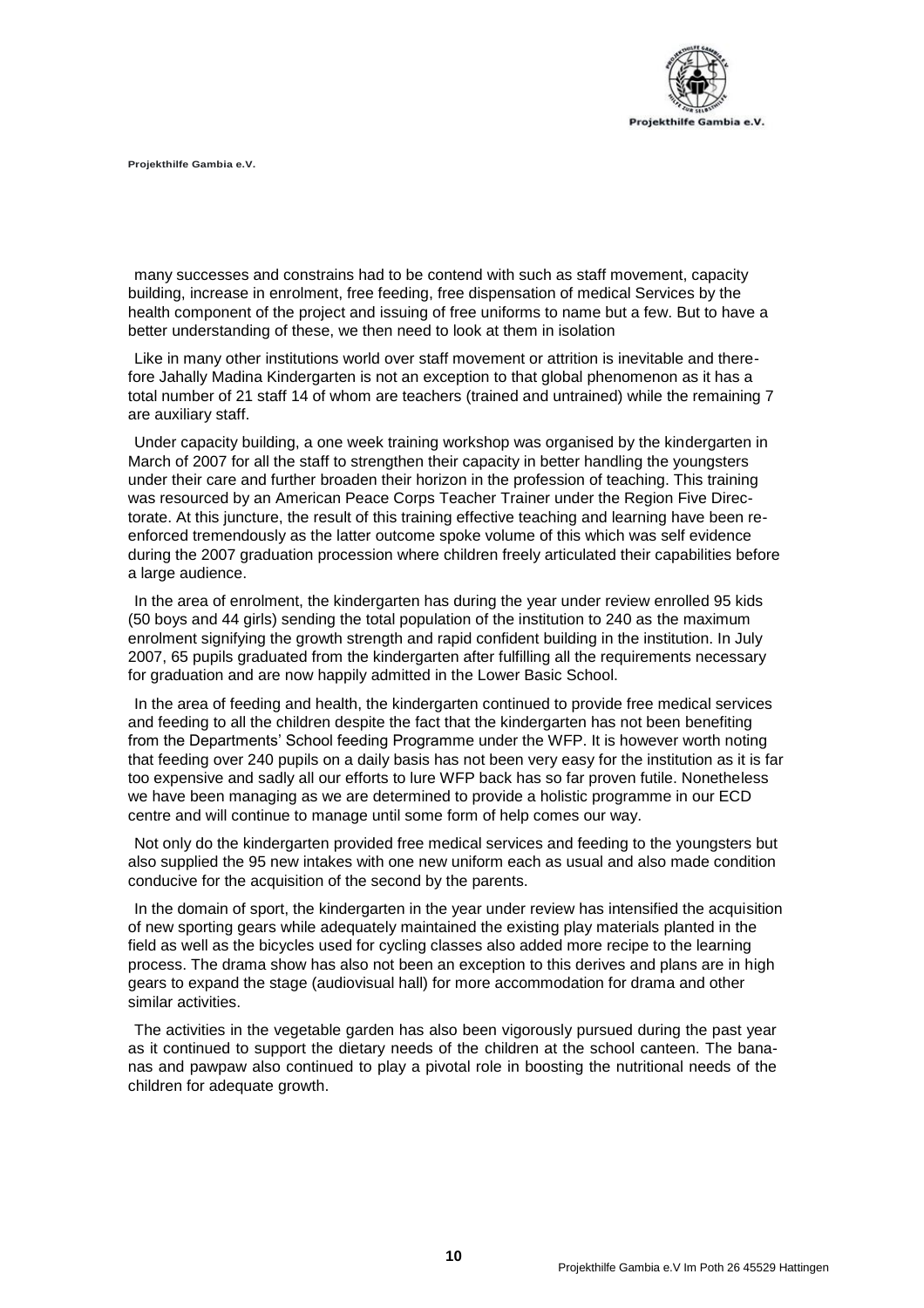

many successes and constrains had to be contend with such as staff movement, capacity building, increase in enrolment, free feeding, free dispensation of medical Services by the health component of the project and issuing of free uniforms to name but a few. But to have a better understanding of these, we then need to look at them in isolation

Like in many other institutions world over staff movement or attrition is inevitable and therefore Jahally Madina Kindergarten is not an exception to that global phenomenon as it has a total number of 21 staff 14 of whom are teachers (trained and untrained) while the remaining 7 are auxiliary staff.

Under capacity building, a one week training workshop was organised by the kindergarten in March of 2007 for all the staff to strengthen their capacity in better handling the youngsters under their care and further broaden their horizon in the profession of teaching. This training was resourced by an American Peace Corps Teacher Trainer under the Region Five Directorate. At this juncture, the result of this training effective teaching and learning have been reenforced tremendously as the latter outcome spoke volume of this which was self evidence during the 2007 graduation procession where children freely articulated their capabilities before a large audience.

In the area of enrolment, the kindergarten has during the year under review enrolled 95 kids (50 boys and 44 girls) sending the total population of the institution to 240 as the maximum enrolment signifying the growth strength and rapid confident building in the institution. In July 2007, 65 pupils graduated from the kindergarten after fulfilling all the requirements necessary for graduation and are now happily admitted in the Lower Basic School.

In the area of feeding and health, the kindergarten continued to provide free medical services and feeding to all the children despite the fact that the kindergarten has not been benefiting from the Departments' School feeding Programme under the WFP. It is however worth noting that feeding over 240 pupils on a daily basis has not been very easy for the institution as it is far too expensive and sadly all our efforts to lure WFP back has so far proven futile. Nonetheless we have been managing as we are determined to provide a holistic programme in our ECD centre and will continue to manage until some form of help comes our way.

Not only do the kindergarten provided free medical services and feeding to the youngsters but also supplied the 95 new intakes with one new uniform each as usual and also made condition conducive for the acquisition of the second by the parents.

In the domain of sport, the kindergarten in the year under review has intensified the acquisition of new sporting gears while adequately maintained the existing play materials planted in the field as well as the bicycles used for cycling classes also added more recipe to the learning process. The drama show has also not been an exception to this derives and plans are in high gears to expand the stage (audiovisual hall) for more accommodation for drama and other similar activities.

The activities in the vegetable garden has also been vigorously pursued during the past year as it continued to support the dietary needs of the children at the school canteen. The bananas and pawpaw also continued to play a pivotal role in boosting the nutritional needs of the children for adequate growth.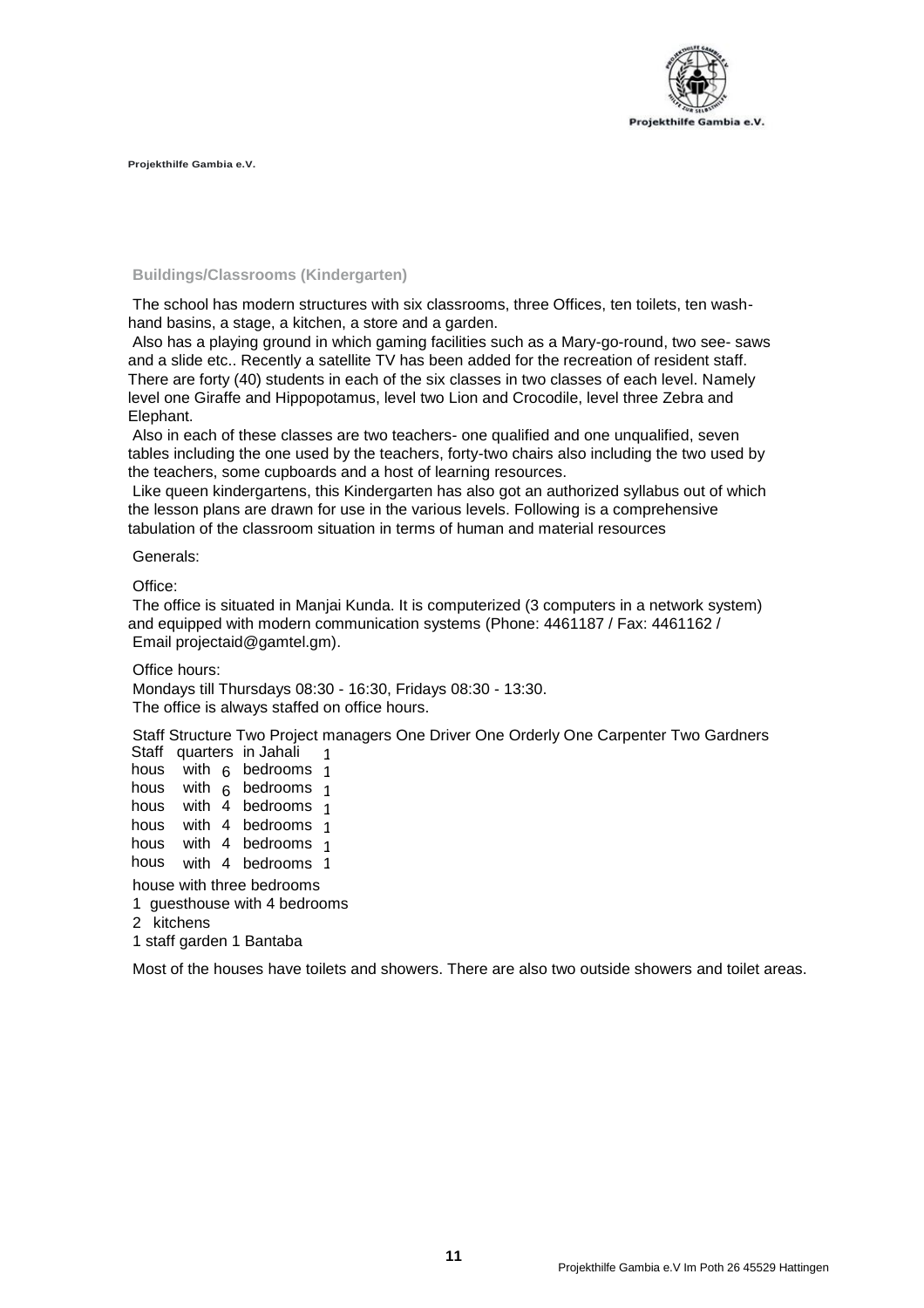

## **Buildings/Classrooms (Kindergarten)**

The school has modern structures with six classrooms, three Offices, ten toilets, ten washhand basins, a stage, a kitchen, a store and a garden.

Also has a playing ground in which gaming facilities such as a Mary-go-round, two see- saws and a slide etc.. Recently a satellite TV has been added for the recreation of resident staff. There are forty (40) students in each of the six classes in two classes of each level. Namely level one Giraffe and Hippopotamus, level two Lion and Crocodile, level three Zebra and Elephant.

Also in each of these classes are two teachers- one qualified and one unqualified, seven tables including the one used by the teachers, forty-two chairs also including the two used by the teachers, some cupboards and a host of learning resources.

Like queen kindergartens, this Kindergarten has also got an authorized syllabus out of which the lesson plans are drawn for use in the various levels. Following is a comprehensive tabulation of the classroom situation in terms of human and material resources

#### Generals:

Office:

The office is situated in Manjai Kunda. It is computerized (3 computers in a network system) and equipped with modern communication systems (Phone: 4461187 / Fax: 4461162 / Email [projectaid@gamtel.gm\).](mailto:projectaid@gamtel.gm)

Office hours:

Mondays till Thursdays 08:30 - 16:30, Fridays 08:30 - 13:30. The office is always staffed on office hours.

Staff Structure Two Project managers One Driver One Orderly One Carpenter Two Gardners Staff quarters in Jahali

| ---                       |  |  | yuunono mounum               |                         |  |  |  |  |
|---------------------------|--|--|------------------------------|-------------------------|--|--|--|--|
| hous                      |  |  | with 6 bedrooms 1            |                         |  |  |  |  |
| hous                      |  |  | with 6 bedrooms 1            |                         |  |  |  |  |
| hous                      |  |  | with 4 bedrooms 1            |                         |  |  |  |  |
| hous                      |  |  | with 4 bedrooms              | $\overline{\mathbf{1}}$ |  |  |  |  |
| hous                      |  |  | with 4 bedrooms 1            |                         |  |  |  |  |
| hous                      |  |  | with 4 bedrooms 1            |                         |  |  |  |  |
| house with three bedrooms |  |  |                              |                         |  |  |  |  |
|                           |  |  | 1 guesthouse with 4 bedrooms |                         |  |  |  |  |
| 2 kitchens                |  |  |                              |                         |  |  |  |  |
|                           |  |  |                              |                         |  |  |  |  |

1 staff garden 1 Bantaba

Most of the houses have toilets and showers. There are also two outside showers and toilet areas.